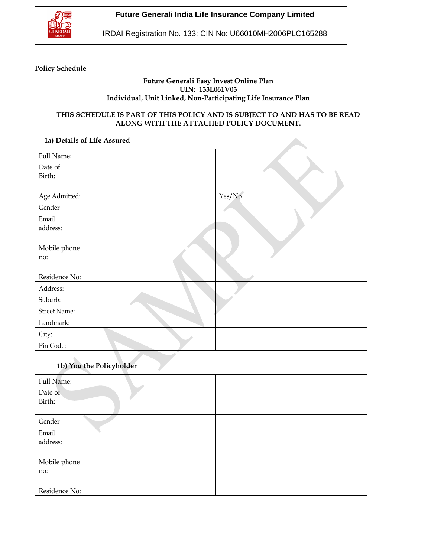

**Future Generali India Life Insurance Company Limited**

IRDAI Registration No. 133; CIN No: U66010MH2006PLC165288

### **Policy Schedule**

### **Future Generali Easy Invest Online Plan UIN: 133L061V03 Individual, Unit Linked, Non-Participating Life Insurance Plan**

## **THIS SCHEDULE IS PART OF THIS POLICY AND IS SUBJECT TO AND HAS TO BE READ ALONG WITH THE ATTACHED POLICY DOCUMENT.**

### **1a) Details of Life Assured**

| Full Name:          |        |
|---------------------|--------|
| Date of<br>Birth:   |        |
| Age Admitted:       | Yes/No |
| Gender              |        |
| Email<br>address:   |        |
| Mobile phone<br>no: |        |
| Residence No:       |        |
| Address:            |        |
| Suburb:             |        |
| Street Name:        |        |
| Landmark:           |        |
| City:               |        |
| Pin Code:           |        |

# **1b) You the Policyholder**

| Full Name:        |  |
|-------------------|--|
| Date of<br>Birth: |  |
| Gender            |  |
| Email             |  |
| address:          |  |
| Mobile phone      |  |
| no:               |  |
| Residence No:     |  |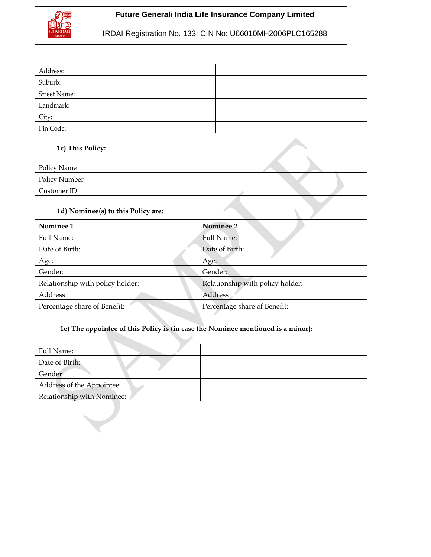

# **Future Generali India Life Insurance Company Limited**

IRDAI Registration No. 133; CIN No: U66010MH2006PLC165288

| Address:            |  |
|---------------------|--|
| Suburb:             |  |
| <b>Street Name:</b> |  |
| Landmark:           |  |
| City:               |  |
| Pin Code:           |  |

## **1c) This Policy:**

| Policy Name   |  |
|---------------|--|
| Policy Number |  |
| Customer ID   |  |

# **1d) Nominee(s) to this Policy are:**

| Nominee 1                        | Nominee 2                        |
|----------------------------------|----------------------------------|
| Full Name:                       | Full Name:                       |
| Date of Birth:                   | Date of Birth:                   |
| Age:                             | Age:                             |
| Gender:                          | Gender:                          |
| Relationship with policy holder: | Relationship with policy holder: |
| Address                          | Address                          |
| Percentage share of Benefit:     | Percentage share of Benefit:     |

# **1e) The appointee of this Policy is (in case the Nominee mentioned is a minor):**

| Full Name:                 |  |
|----------------------------|--|
| Date of Birth:             |  |
| Gender                     |  |
| Address of the Appointee:  |  |
| Relationship with Nominee: |  |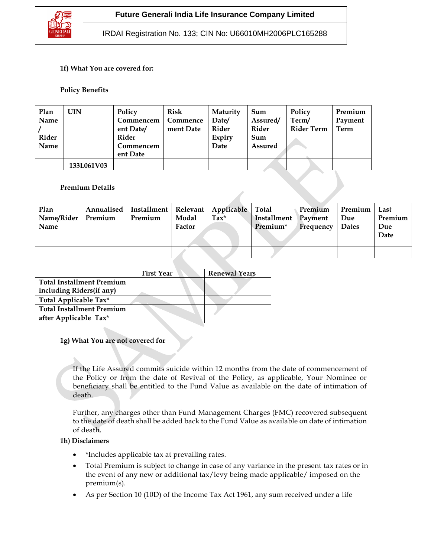

IRDAI Registration No. 133; CIN No: U66010MH2006PLC165288

### **1f) What You are covered for:**

### **Policy Benefits**

| Plan<br>Name<br>Rider | UIN        | Policy<br>Commencem<br>ent Date/<br>Rider | Risk<br>Commence<br>ment Date | Maturity<br>Date/<br>Rider<br>Expiry | Sum<br>Assured/<br>Rider<br>Sum | Policy<br>Term/<br><b>Rider Term</b> | Premium<br>Payment<br>Term |
|-----------------------|------------|-------------------------------------------|-------------------------------|--------------------------------------|---------------------------------|--------------------------------------|----------------------------|
| Name                  |            | Commencem<br>ent Date                     |                               | Date                                 | <b>Assured</b>                  |                                      |                            |
|                       | 133L061V03 |                                           |                               |                                      |                                 |                                      |                            |

### **Premium Details**

| Plan<br>Name/Rider   Premium<br>Name | Annualised   Installment   Relevant   Applicable   Total<br>Premium | Modal<br>Factor | $\text{Tax}^{\star}$ | Installment   Payment<br>Premium* | Premium<br>Frequency | <b>Premium</b><br>Due<br><b>Dates</b> | Last<br>Premium<br>Due<br>Date |
|--------------------------------------|---------------------------------------------------------------------|-----------------|----------------------|-----------------------------------|----------------------|---------------------------------------|--------------------------------|
|                                      |                                                                     |                 |                      |                                   |                      |                                       |                                |

|                                  | <b>First Year</b> | <b>Renewal Years</b> |
|----------------------------------|-------------------|----------------------|
| <b>Total Installment Premium</b> |                   |                      |
| including Riders(if any)         |                   |                      |
| Total Applicable Tax*            |                   |                      |
| <b>Total Installment Premium</b> |                   |                      |
| after Applicable Tax*            |                   |                      |

#### **1g) What You are not covered for**

If the Life Assured commits suicide within 12 months from the date of commencement of the Policy or from the date of Revival of the Policy, as applicable, Your Nominee or beneficiary shall be entitled to the Fund Value as available on the date of intimation of death.

Further, any charges other than Fund Management Charges (FMC) recovered subsequent to the date of death shall be added back to the Fund Value as available on date of intimation of death.

#### **1h) Disclaimers**

- \*Includes applicable tax at prevailing rates.
- Total Premium is subject to change in case of any variance in the present tax rates or in the event of any new or additional tax/levy being made applicable/ imposed on the premium(s).
- As per Section 10 (10D) of the Income Tax Act 1961, any sum received under a life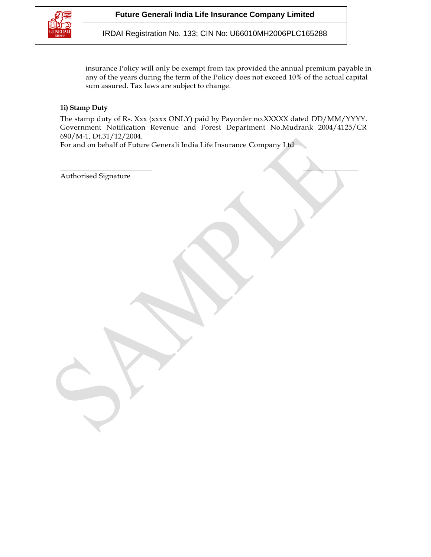

IRDAI Registration No. 133; CIN No: U66010MH2006PLC165288

insurance Policy will only be exempt from tax provided the annual premium payable in any of the years during the term of the Policy does not exceed 10% of the actual capital sum assured. Tax laws are subject to change.

### **1i) Stamp Duty**

The stamp duty of Rs. Xxx (xxxx ONLY) paid by Payorder no.XXXXX dated DD/MM/YYYY. Government Notification Revenue and Forest Department No.Mudrank 2004/4125/CR 690/M-1, Dt.31/12/2004.

 $\overline{\phantom{a}}$  , and the contract of the contract of the contract of the contract of the contract of the contract of the contract of the contract of the contract of the contract of the contract of the contract of the contrac

For and on behalf of Future Generali India Life Insurance Company Ltd

Authorised Signature